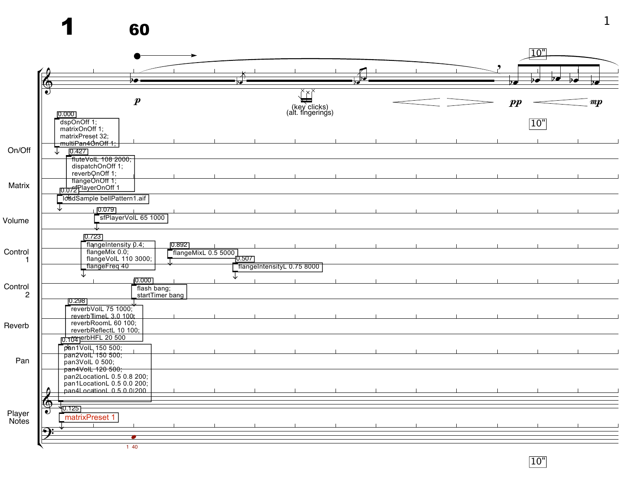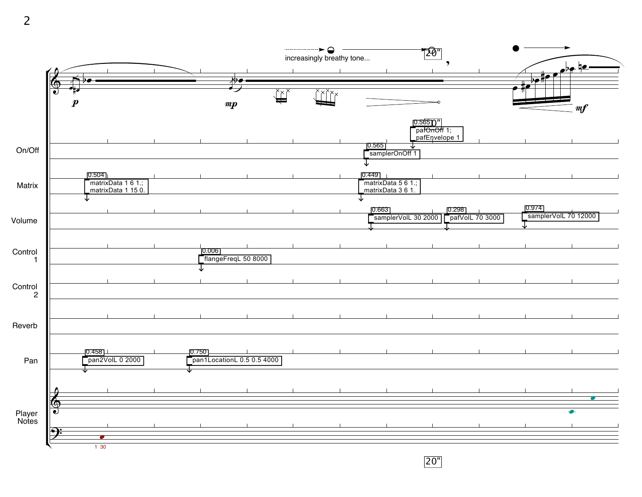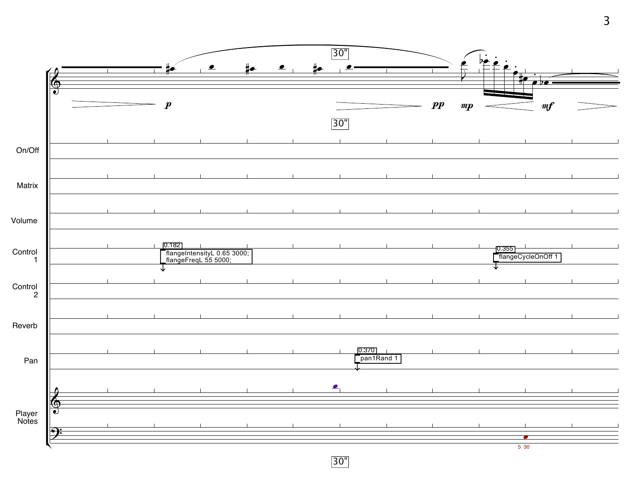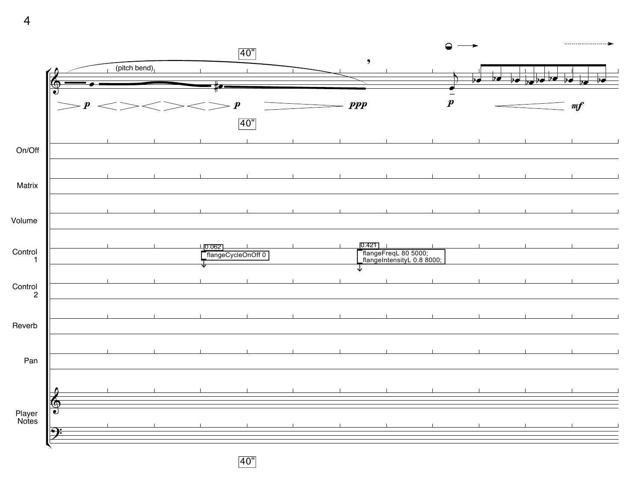

40"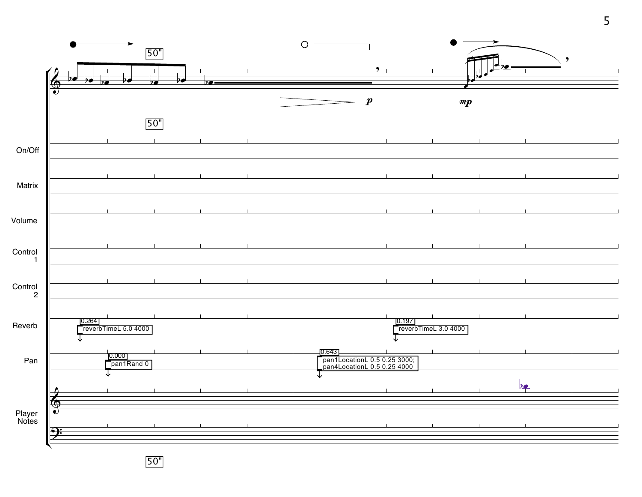

50"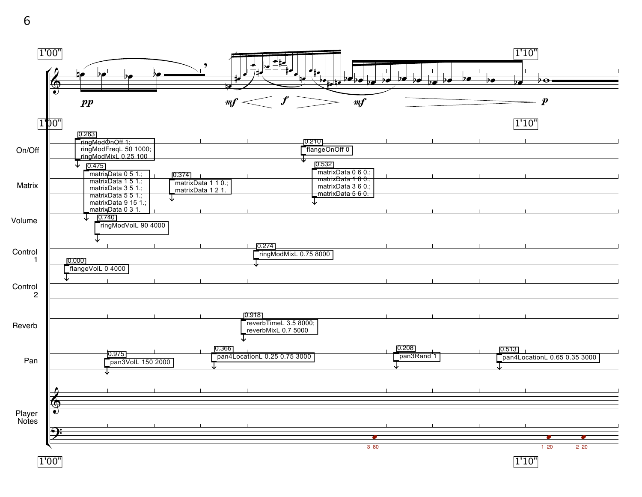

1'00"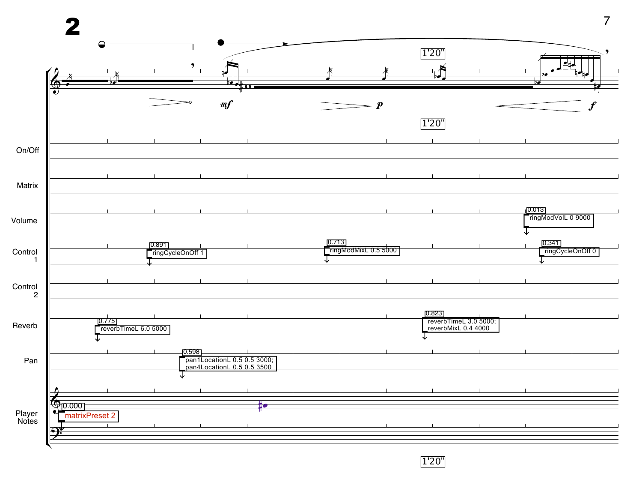

1'20"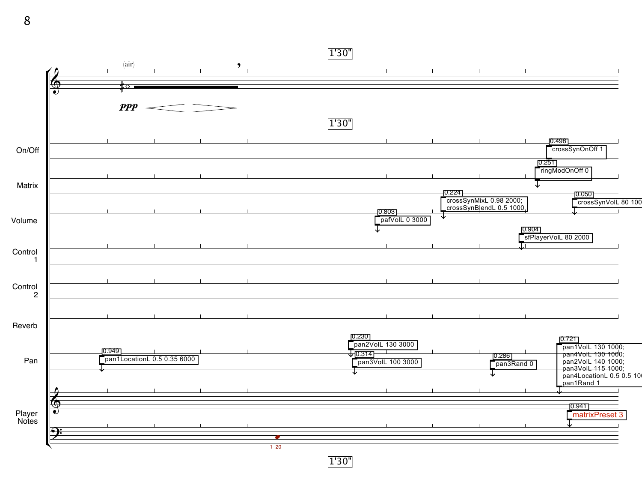1'30"  $\overline{\phantom{a}}$ (air)  $\overline{\phantom{a}}$  $\hat{\mathbb{F}}$ ♯𝆹 *ppp* 1'30"



1'30"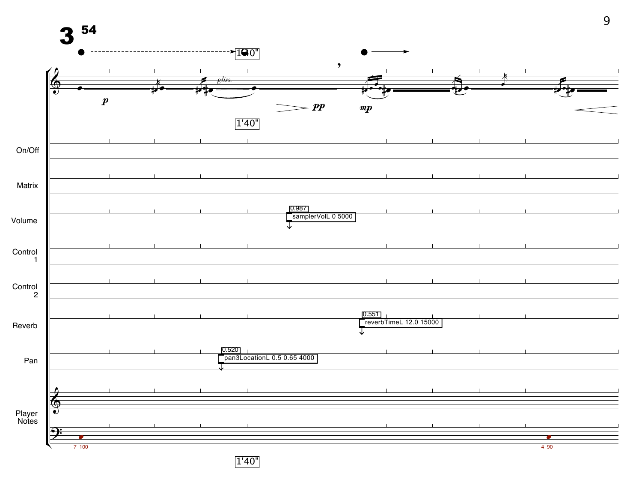

1'40"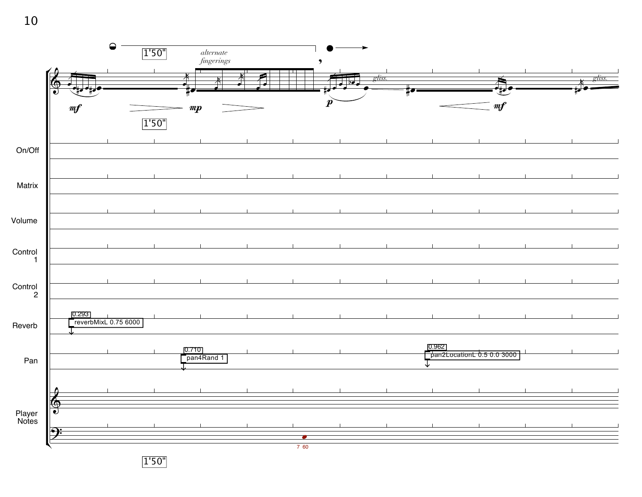

1'50"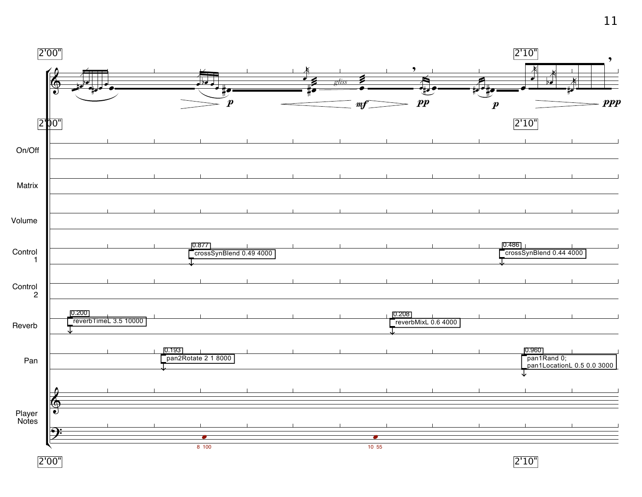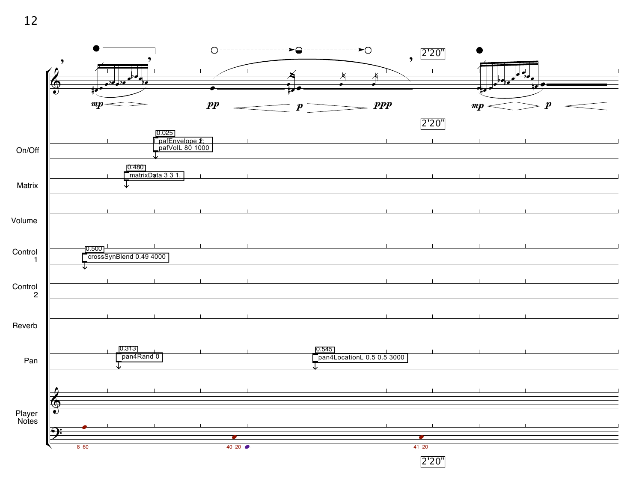

2'20"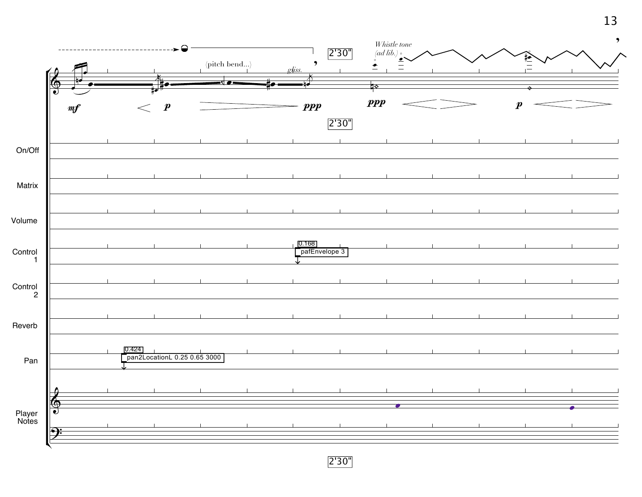

2'30"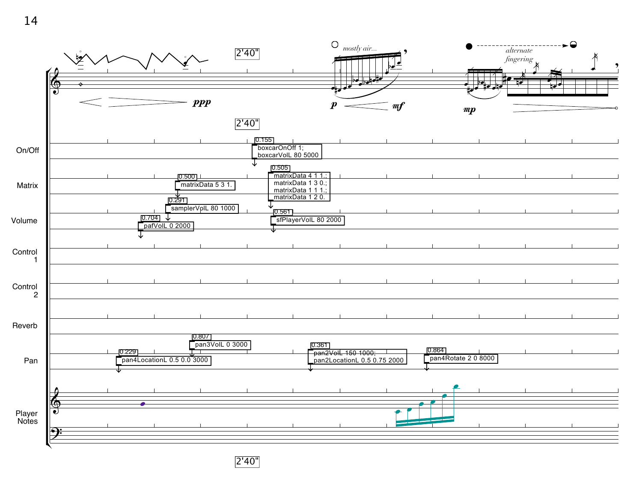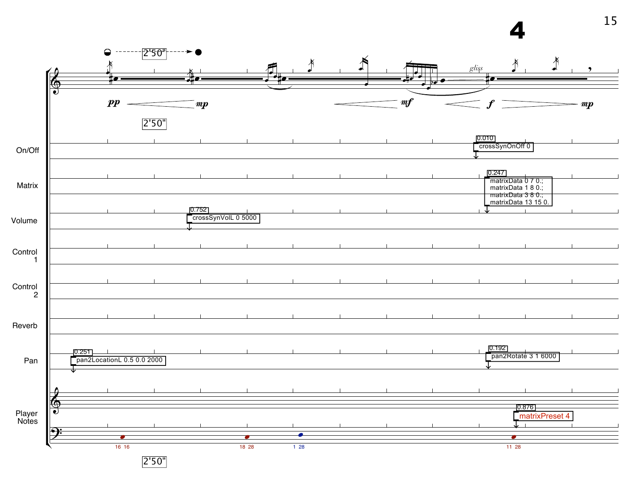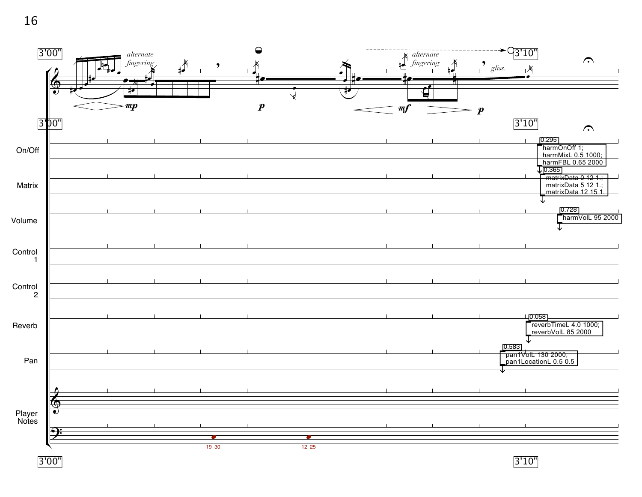16



3'00"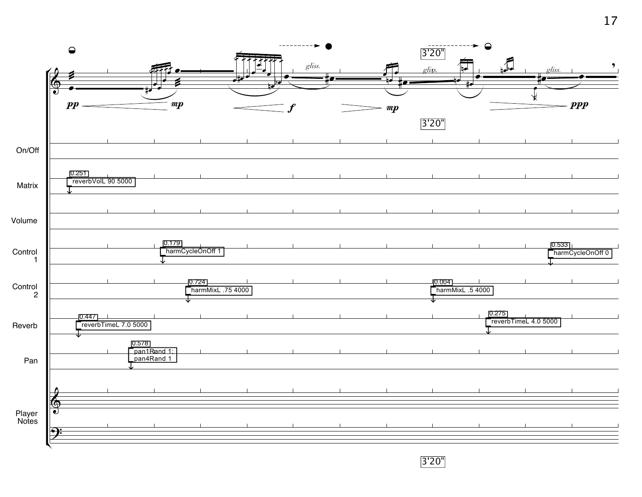

3'20"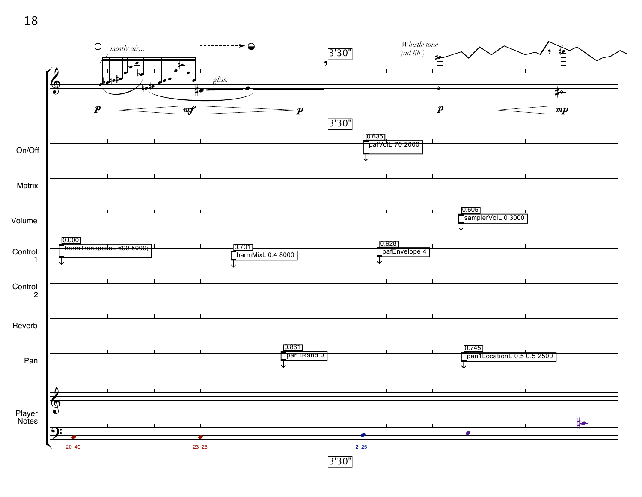

3'30"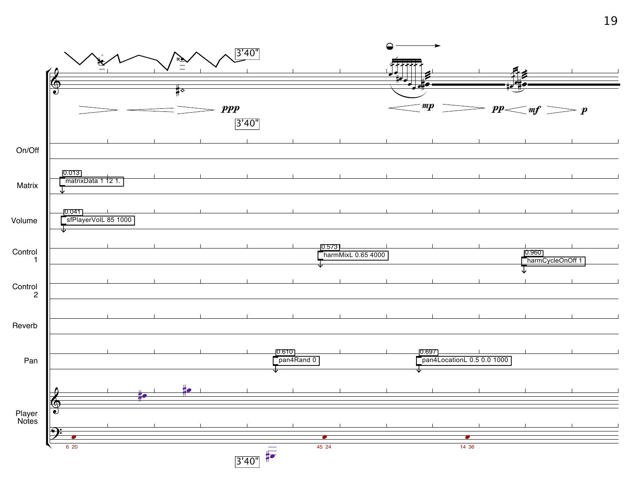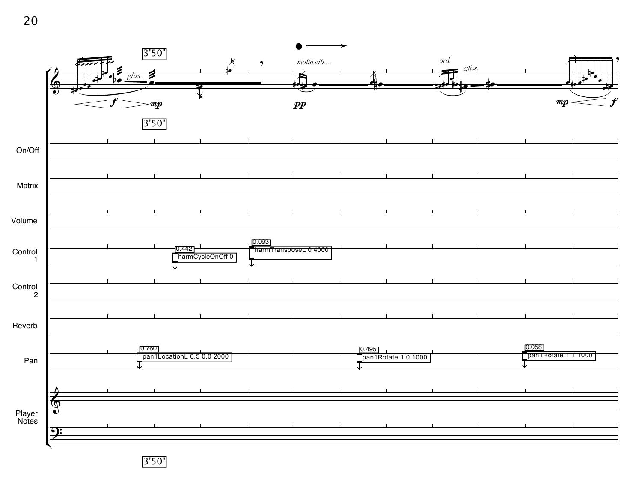

3'50"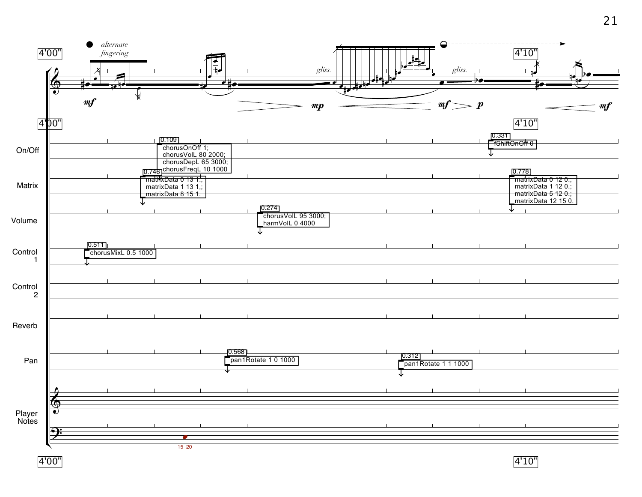

4'00"

4'10"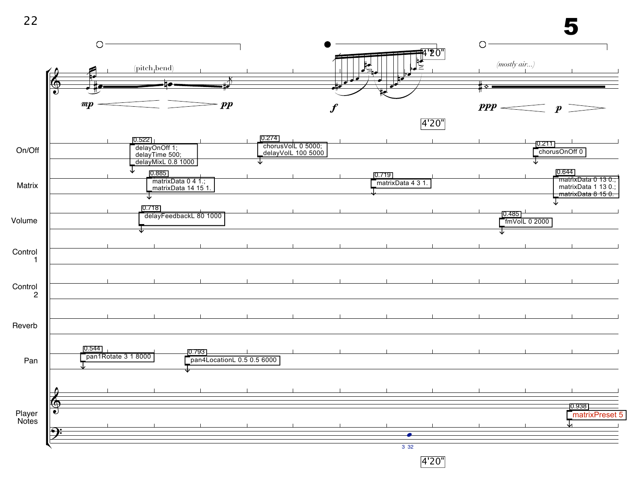



4'20"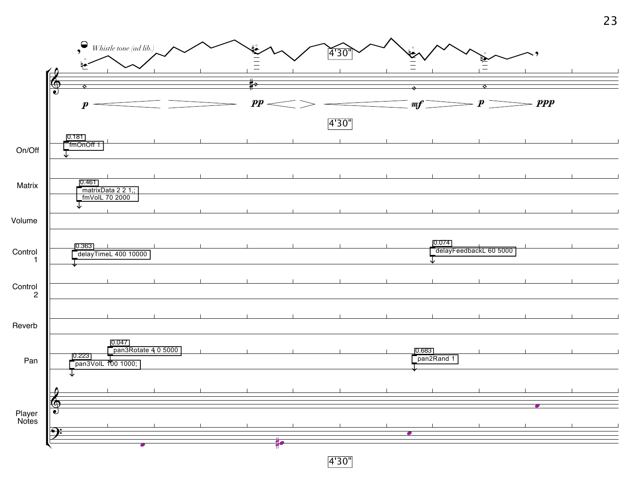

4'30"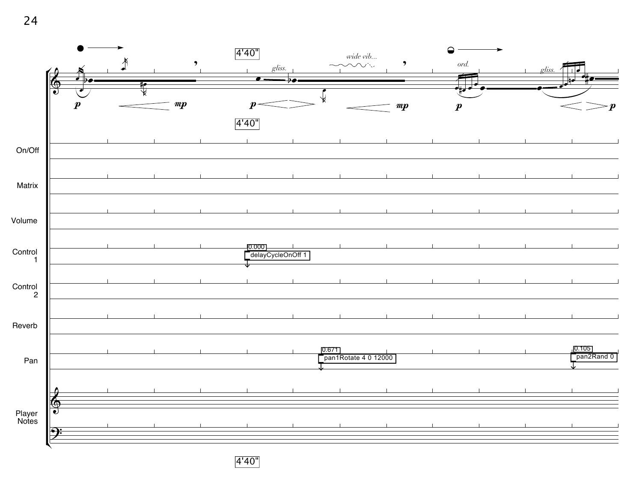



4'40"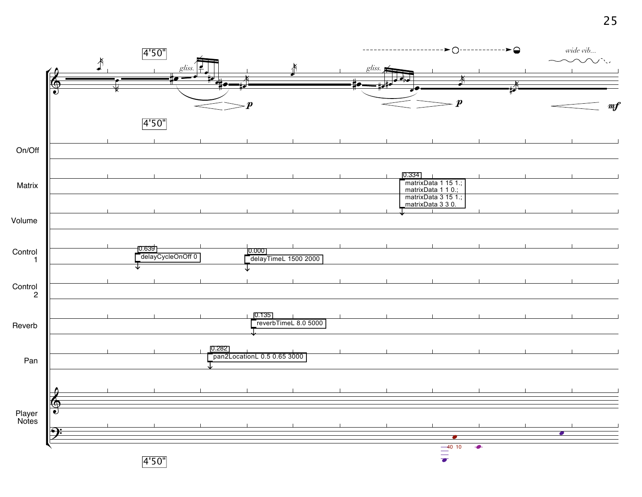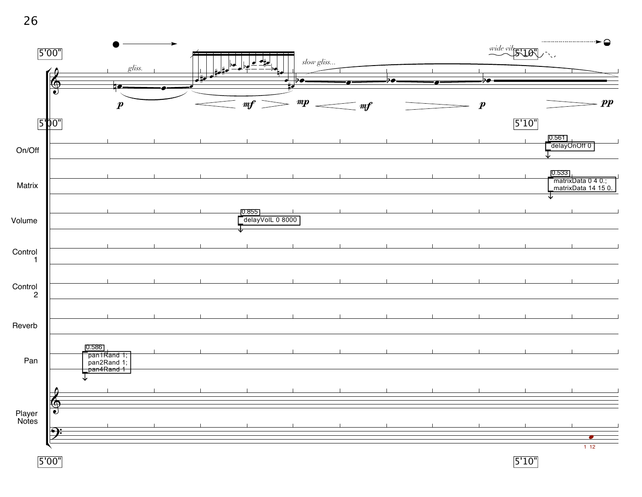26

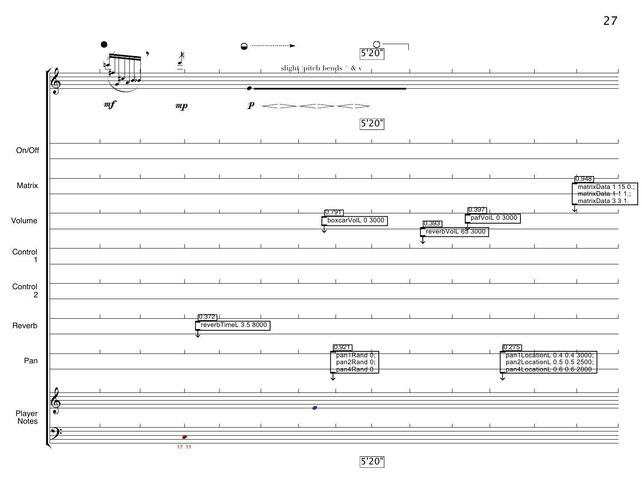

5'20"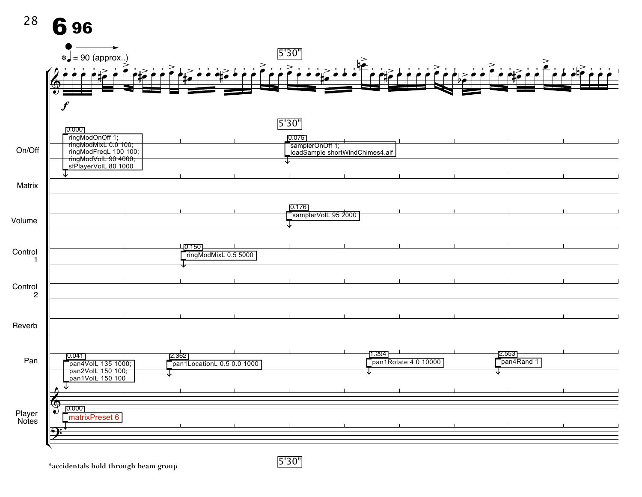

5'30"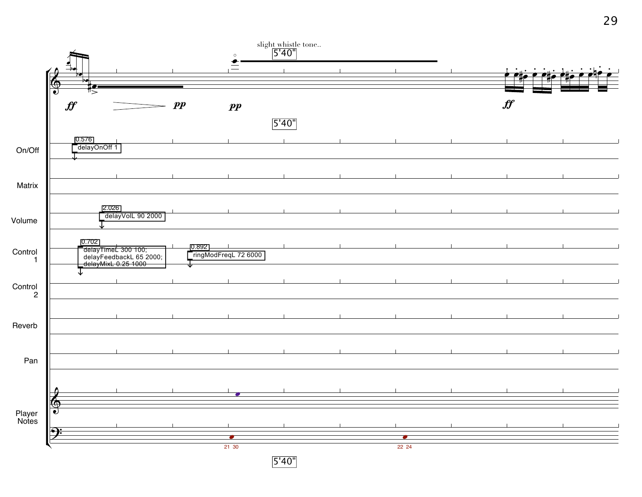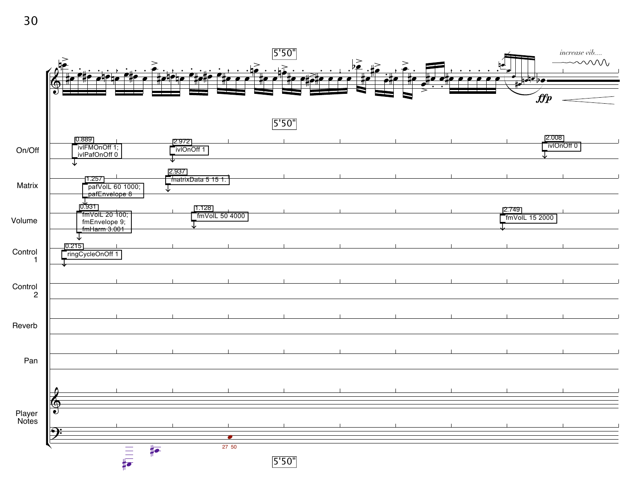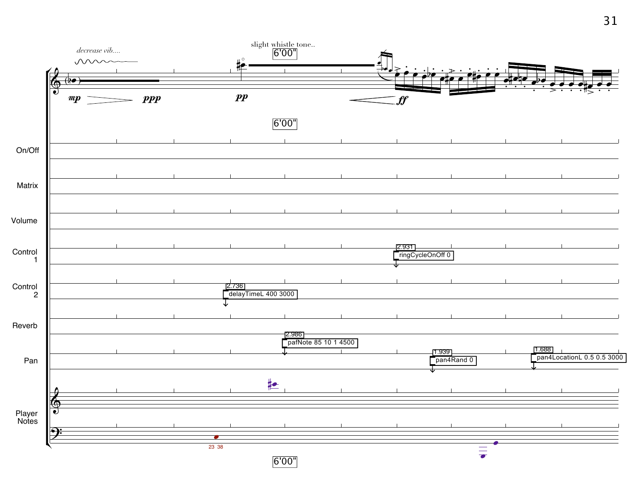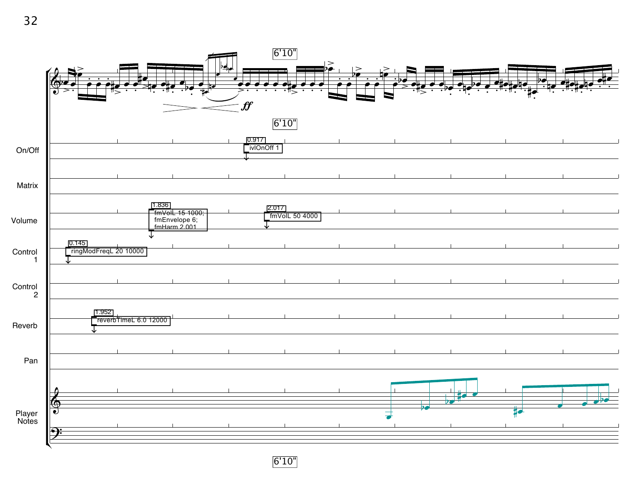

6'10"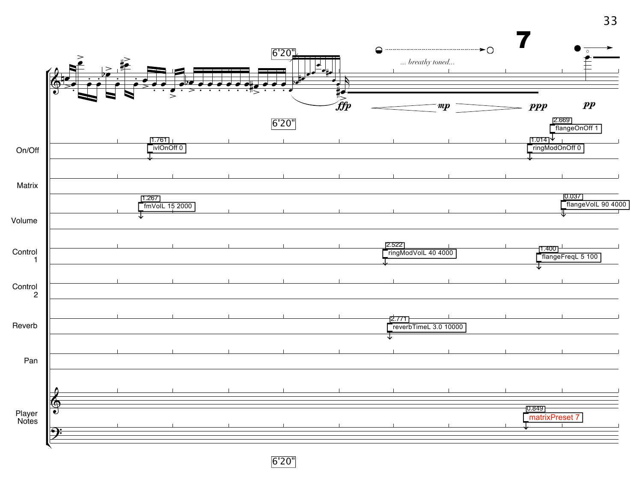

6'20"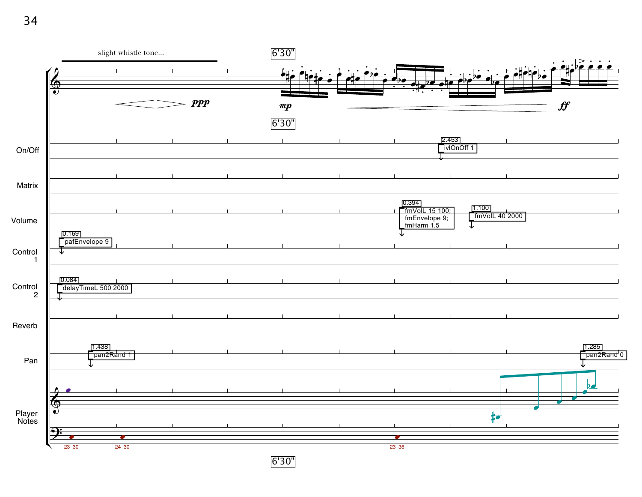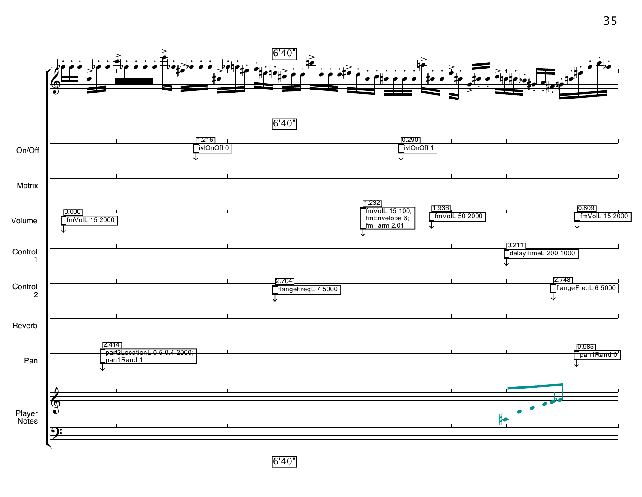

6'40"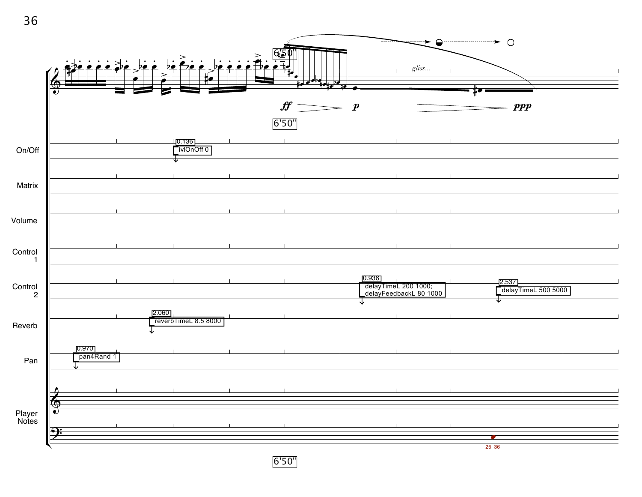

6'50"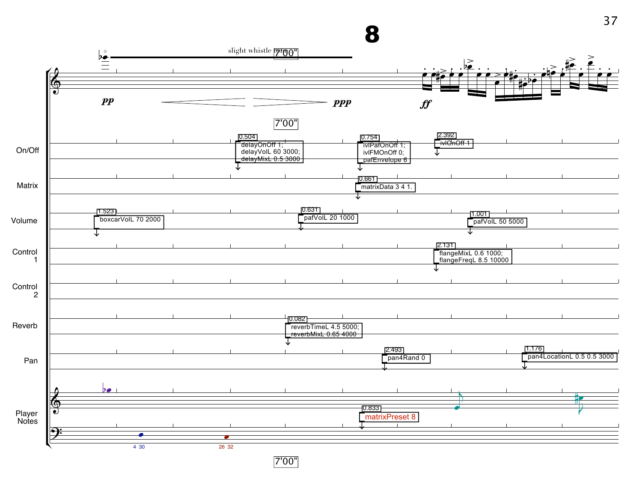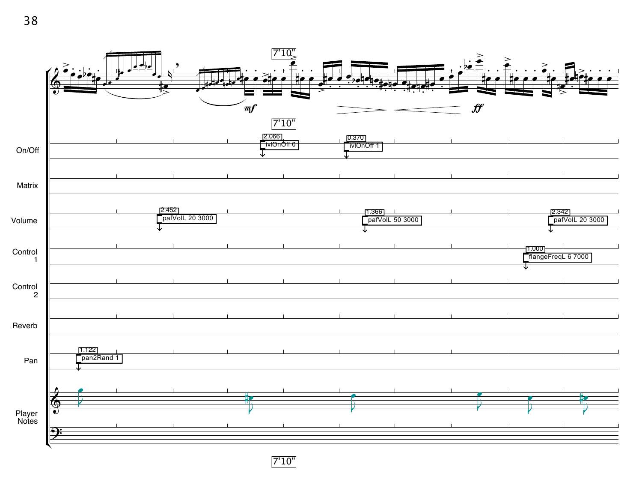

7'10"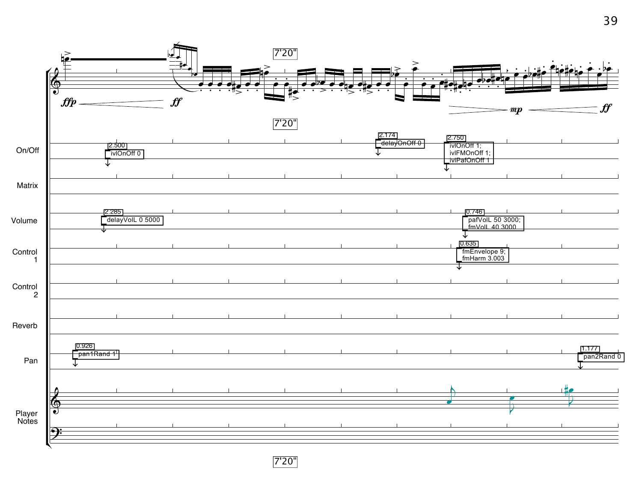

7'20"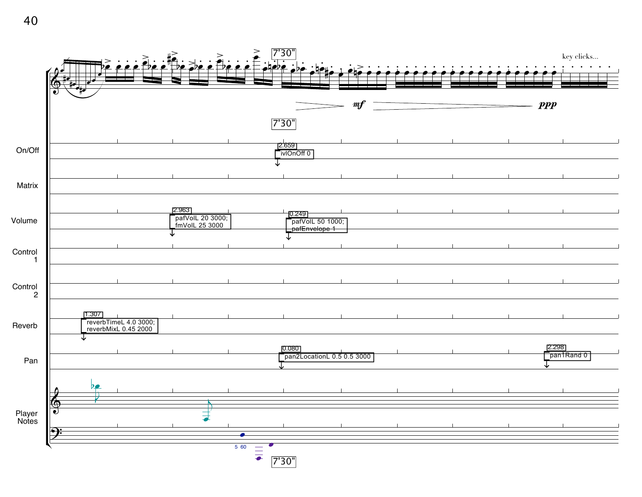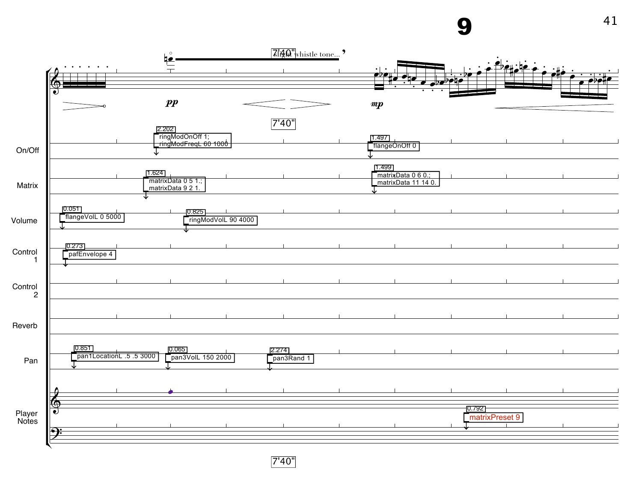9



7'40"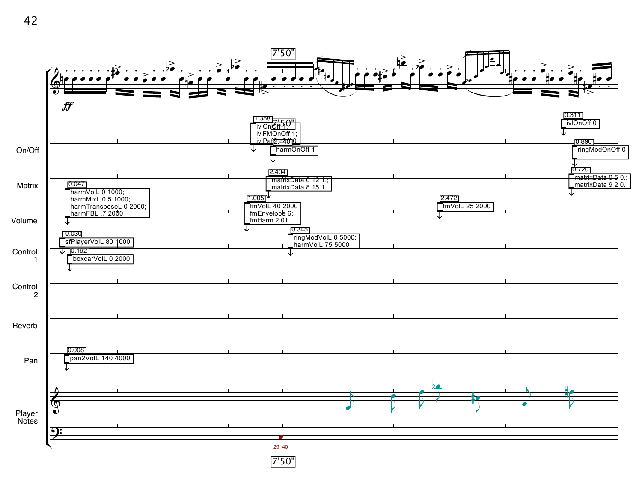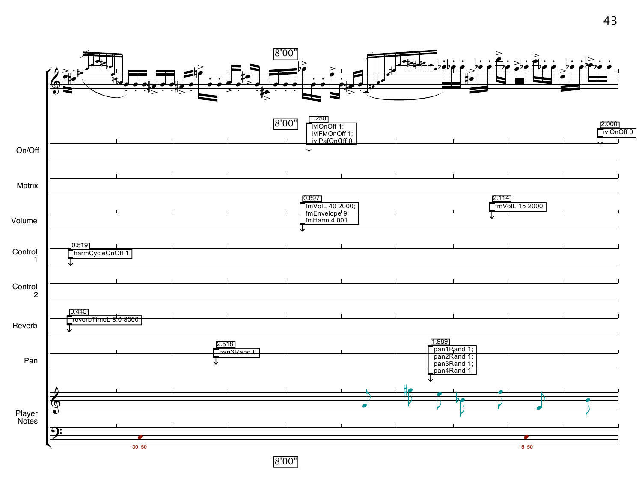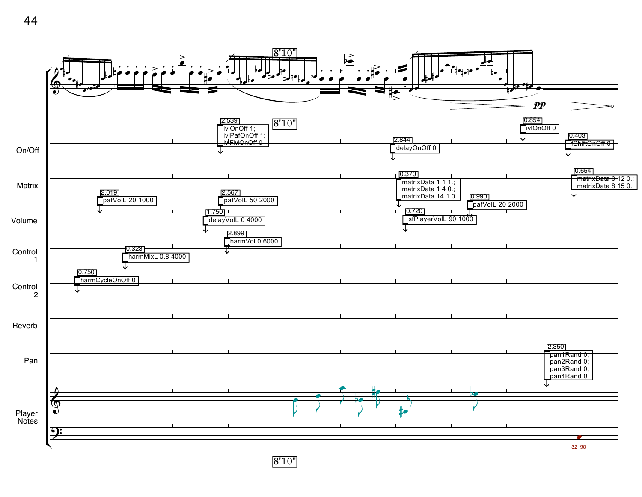

8'10"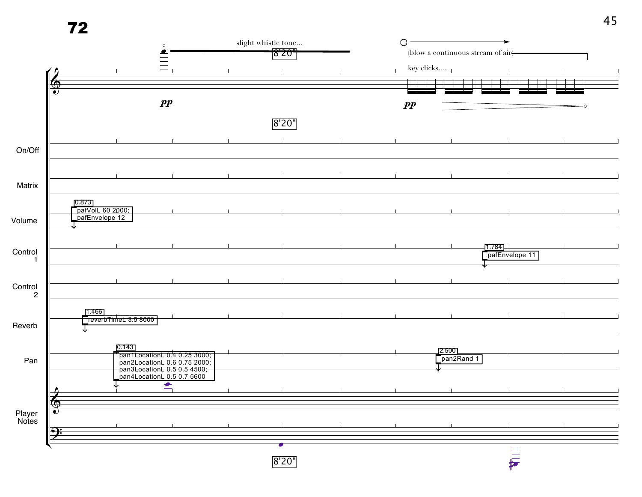|                 | 72     |                                    |                                                                                                                           |                                               |                                                 |                     |                           | 45 |  |
|-----------------|--------|------------------------------------|---------------------------------------------------------------------------------------------------------------------------|-----------------------------------------------|-------------------------------------------------|---------------------|---------------------------|----|--|
|                 |        |                                    | $\circ$<br>∙                                                                                                              | slight whistle tone<br>$\overline{\delta$ 20" | $\bigcirc$<br>(blow a continuous stream of air) |                     |                           |    |  |
|                 |        |                                    | $\equiv$                                                                                                                  |                                               |                                                 | key clicks          |                           |    |  |
|                 |        |                                    |                                                                                                                           |                                               |                                                 |                     |                           |    |  |
|                 |        |                                    | $\boldsymbol{pp}$                                                                                                         |                                               | $\boldsymbol{pp}$                               |                     |                           |    |  |
|                 |        |                                    |                                                                                                                           | 8'20"                                         |                                                 |                     |                           |    |  |
| On/Off          |        |                                    |                                                                                                                           |                                               |                                                 |                     |                           |    |  |
|                 |        |                                    |                                                                                                                           |                                               |                                                 |                     |                           |    |  |
| Matrix          |        |                                    |                                                                                                                           |                                               |                                                 |                     |                           |    |  |
| Volume          | 0.873  | pafVolL 60 2000;<br>pafEnvelope 12 |                                                                                                                           |                                               |                                                 |                     |                           |    |  |
| Control<br>-1   |        |                                    |                                                                                                                           |                                               |                                                 |                     | [1.784]<br>pafEnvelope 11 |    |  |
|                 |        |                                    |                                                                                                                           |                                               |                                                 |                     |                           |    |  |
| Control<br>2    |        |                                    |                                                                                                                           |                                               |                                                 |                     |                           |    |  |
| Reverb          | 1.466  | reverbTimeL 3.5 8000               |                                                                                                                           |                                               |                                                 |                     |                           |    |  |
| Pan             |        | 0.143                              | pan1LocationL 0.4 0.25 3000;<br>pan2LocationL 0.6 0.75 2000;<br>pan3LocationL 0.5 0.5 4500;<br>pan4LocationL 0.5 0.7 5600 |                                               |                                                 | 2.500<br>pan2Rand 1 |                           |    |  |
|                 |        |                                    | உ                                                                                                                         |                                               |                                                 |                     |                           |    |  |
|                 | ഴ<br>e |                                    |                                                                                                                           |                                               |                                                 |                     |                           |    |  |
| Player<br>Notes | 9      |                                    |                                                                                                                           |                                               |                                                 |                     |                           |    |  |
|                 |        |                                    |                                                                                                                           |                                               |                                                 |                     |                           |    |  |
|                 |        |                                    |                                                                                                                           | 8'20"                                         |                                                 |                     | $\frac{1}{\sqrt{2}}$      |    |  |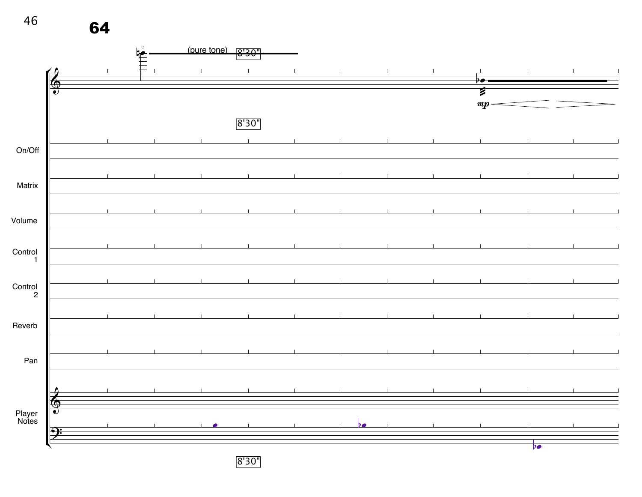

8'30"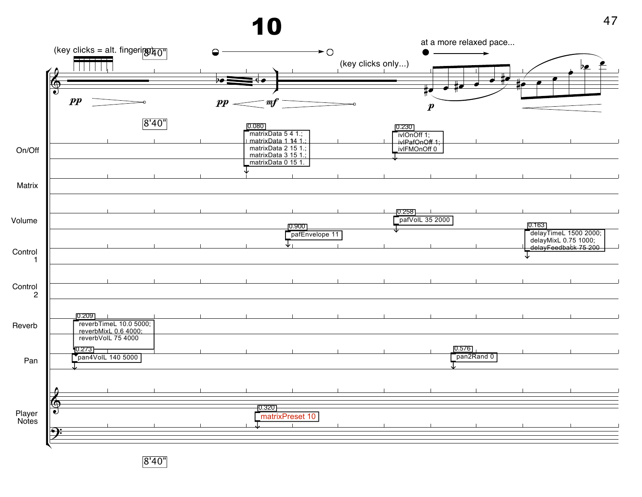|                           | (key clicks = alt. fingering $\overline{40"}$                         |                                                      |                           |                                  | at a more relaxed pace |                                                                       |
|---------------------------|-----------------------------------------------------------------------|------------------------------------------------------|---------------------------|----------------------------------|------------------------|-----------------------------------------------------------------------|
|                           |                                                                       |                                                      | $\rightarrow$ O           | (key clicks only)                |                        |                                                                       |
|                           | -6                                                                    |                                                      |                           |                                  |                        | ₽<br>$b$ e                                                            |
|                           | $\bigcirc$                                                            | Þø.                                                  |                           | $\bullet$ 10                     |                        |                                                                       |
|                           |                                                                       |                                                      |                           | ⋕J                               |                        |                                                                       |
|                           | $\boldsymbol{pp}$                                                     | $pp$ .<br>$\bm{m}$                                   |                           | $\boldsymbol{p}$                 |                        |                                                                       |
|                           | 8'40''                                                                |                                                      |                           |                                  |                        |                                                                       |
|                           |                                                                       | 0.080<br>matrixData 5 4 1.;<br>I matrixData 1 14 1.; |                           | [0.230]<br>ivlOnOff 1;           |                        |                                                                       |
|                           |                                                                       | matrixData 2 15 1.;                                  |                           | iviPafOnOff 1;<br>iviPafOnOff 0; |                        |                                                                       |
| On/Off                    |                                                                       | matrixData 3 15 1.;                                  |                           |                                  |                        |                                                                       |
|                           |                                                                       | matrixData 0 15 1.                                   |                           |                                  |                        |                                                                       |
| Matrix                    |                                                                       |                                                      |                           |                                  |                        |                                                                       |
|                           |                                                                       |                                                      |                           |                                  |                        |                                                                       |
|                           |                                                                       |                                                      |                           |                                  |                        |                                                                       |
| Volume                    |                                                                       |                                                      |                           | 0.258<br>pafVolL 35 2000         |                        |                                                                       |
|                           |                                                                       |                                                      | [0.900]<br>pafEnvelope 11 |                                  |                        | [0.163]                                                               |
|                           |                                                                       |                                                      | ↓                         |                                  |                        | delayTimeL 1500 2000;<br>delayMixL 0.75 1000;<br>delayFeedback 75 200 |
| Control                   |                                                                       |                                                      |                           |                                  |                        |                                                                       |
|                           |                                                                       |                                                      |                           |                                  |                        |                                                                       |
|                           |                                                                       |                                                      |                           |                                  |                        |                                                                       |
| Control<br>$\overline{c}$ |                                                                       |                                                      |                           |                                  |                        |                                                                       |
|                           |                                                                       |                                                      |                           |                                  |                        |                                                                       |
|                           | <u>ן0.209</u>                                                         |                                                      |                           |                                  |                        |                                                                       |
| Reverb                    | reverbTimeL 10.0 5000;<br>reverbMixL 0.6 4000;<br>reverbVolL 75 4000; |                                                      |                           |                                  |                        |                                                                       |
|                           |                                                                       |                                                      |                           |                                  |                        |                                                                       |
|                           | [0.273]<br>pan4VolL 140 5000                                          |                                                      |                           |                                  | 0.576<br>pan2Rand 0    |                                                                       |
| Pan                       |                                                                       |                                                      |                           |                                  |                        |                                                                       |
|                           |                                                                       |                                                      |                           |                                  |                        |                                                                       |
|                           |                                                                       |                                                      |                           |                                  |                        |                                                                       |
|                           | Ø                                                                     | $-0.320$                                             |                           |                                  |                        |                                                                       |
| Player<br>Notes           |                                                                       | matrixPreset 10                                      |                           |                                  |                        |                                                                       |
|                           | Ð                                                                     |                                                      |                           |                                  |                        |                                                                       |
|                           |                                                                       |                                                      |                           |                                  |                        |                                                                       |
|                           |                                                                       |                                                      |                           |                                  |                        |                                                                       |

8'40"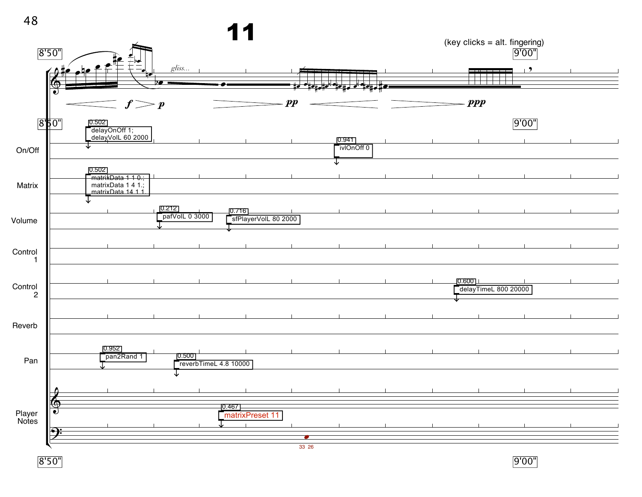

8'50"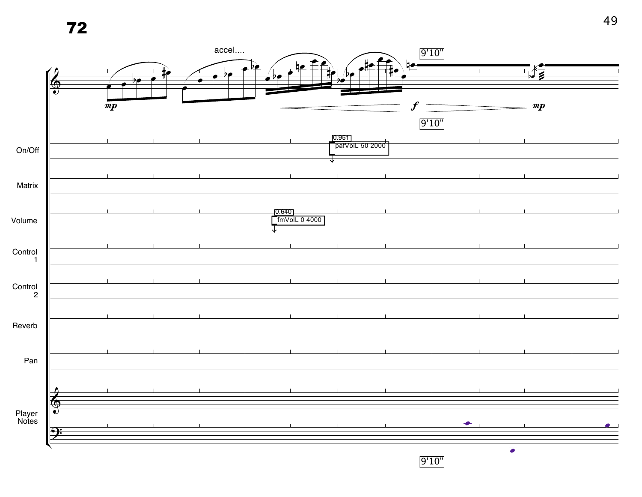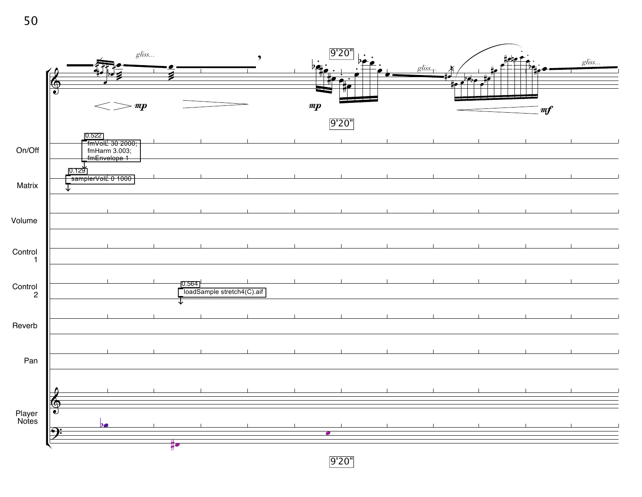

9'20"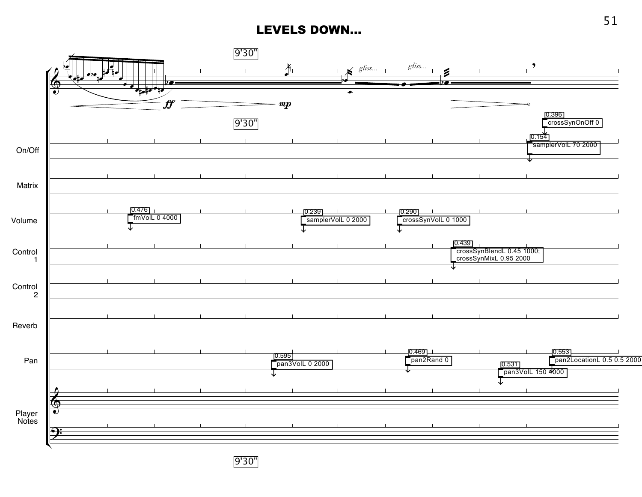## LEVELS DOWN...



9'30"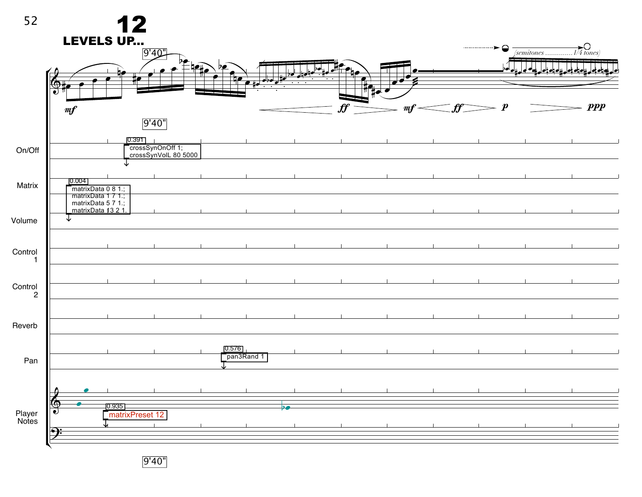

9'40"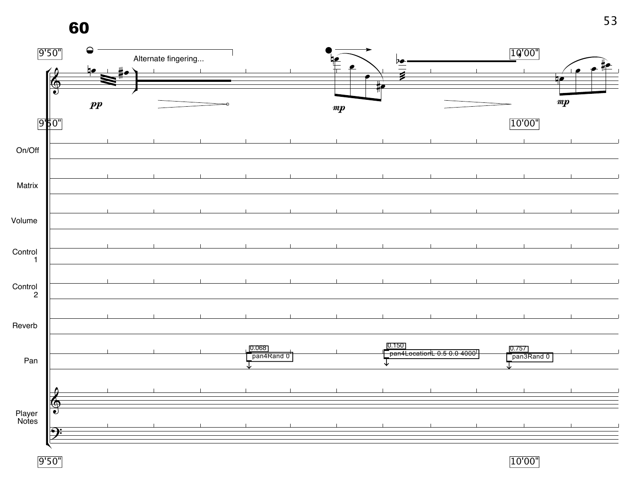

9'50"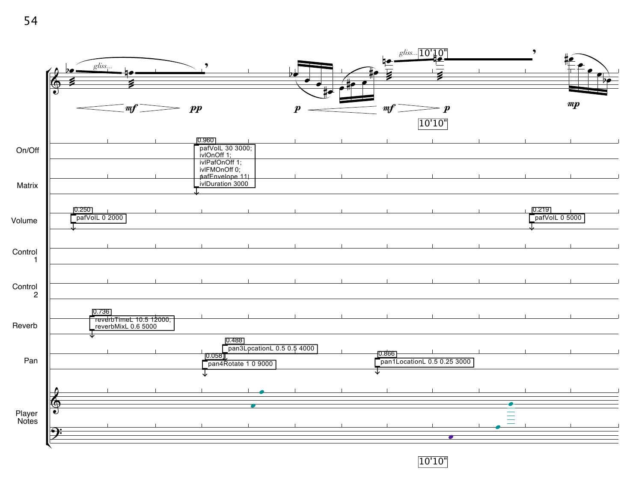

10'10"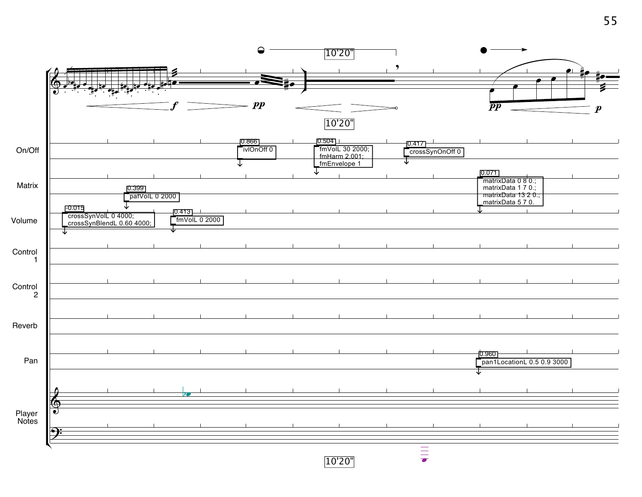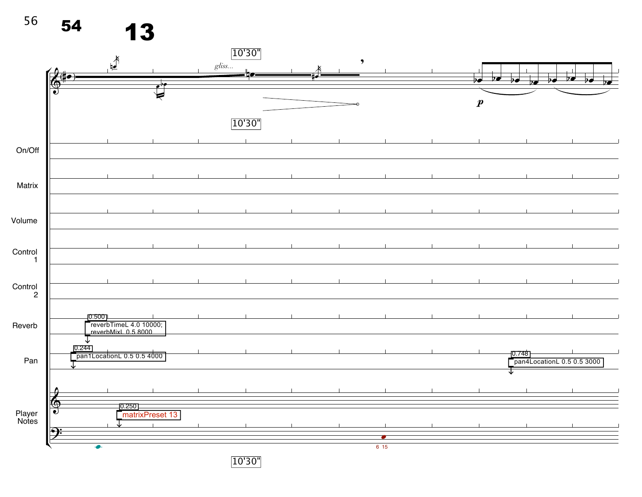$56$  54 13

|                      | $\mathbb{R}^{\mathbb{N}}$                     |                          | gliss | 10'30"                         |  | $\bullet$ |                                 |                                                                           |                                     |
|----------------------|-----------------------------------------------|--------------------------|-------|--------------------------------|--|-----------|---------------------------------|---------------------------------------------------------------------------|-------------------------------------|
| $\frac{2}{2}$        |                                               | $\overline{\phantom{a}}$ |       |                                |  |           | $p$ $\bullet$<br>$\overline{P}$ | $\overline{p}$<br>$\overline{\triangleright}$<br>$\overline{\phantom{a}}$ | $\overline{\mathbf{v}}$<br>Þ0<br>70 |
|                      |                                               | ₹                        |       |                                |  |           | $\boldsymbol{p}$                |                                                                           |                                     |
|                      |                                               |                          |       | 10'30"                         |  |           |                                 |                                                                           |                                     |
| On/Off               |                                               |                          |       |                                |  |           |                                 |                                                                           |                                     |
|                      |                                               |                          |       |                                |  |           |                                 |                                                                           |                                     |
| Matrix               |                                               |                          |       |                                |  |           |                                 |                                                                           |                                     |
|                      |                                               |                          |       |                                |  |           |                                 |                                                                           |                                     |
| Volume               |                                               |                          |       |                                |  |           |                                 |                                                                           |                                     |
| Control              |                                               |                          |       |                                |  |           |                                 |                                                                           |                                     |
| $\overline{1}$       |                                               |                          |       |                                |  |           |                                 |                                                                           |                                     |
| Control<br>2         |                                               |                          |       |                                |  |           |                                 |                                                                           |                                     |
|                      | 0.500                                         |                          |       |                                |  |           |                                 |                                                                           |                                     |
| Reverb               | reverbTimeL 4.0 10000;<br>reverbMixL 0.5 8000 |                          |       |                                |  |           |                                 |                                                                           |                                     |
| Pan                  | 0.244<br>pan1LocationL 0.5 0.5 4000           |                          |       |                                |  |           |                                 | 0.748                                                                     | pan4LocationL 0.5 0.5 3000          |
|                      |                                               |                          |       |                                |  |           |                                 |                                                                           |                                     |
| $\blacklozenge$      |                                               |                          |       |                                |  |           |                                 |                                                                           |                                     |
| ∙<br>Player<br>Notes | [0.250]                                       | matrixPreset 13          |       |                                |  |           |                                 |                                                                           |                                     |
|                      |                                               |                          |       |                                |  |           |                                 |                                                                           |                                     |
|                      | $\bullet$                                     |                          |       | $\Gamma$ $\sim$ $\sim$<br>$ -$ |  | 615       |                                 |                                                                           |                                     |

10'30"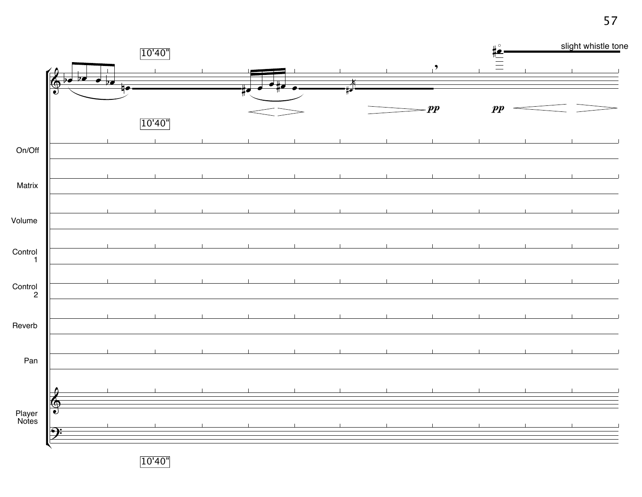

10'40"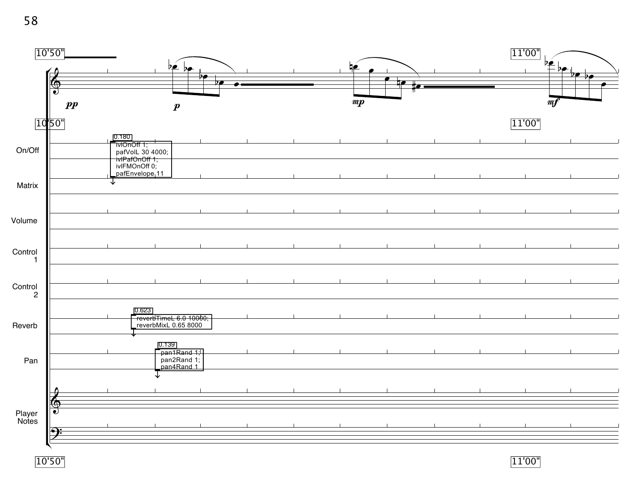|                 | [10'50"]                                                                                                      | $b$ e bo<br>do-                                     |   | <u>42</u>        |    |              | 11'00"<br>$b$ e | $\frac{-b}{\sqrt{2}}$ |
|-----------------|---------------------------------------------------------------------------------------------------------------|-----------------------------------------------------|---|------------------|----|--------------|-----------------|-----------------------|
|                 | $\pmb{\circledcirc}$<br>$\bullet$<br>$\boldsymbol{pp}$                                                        | 70<br>$\boldsymbol{p}$                              | ▰ | $\boldsymbol{m}$ | 10 | $\mathbf{t}$ | m f             |                       |
|                 | 1050                                                                                                          |                                                     |   |                  |    |              | 11'00"          |                       |
| On/Off          | 0.180<br>ivion off 1;<br>pafVolL 30 4000;<br>iviPafOn Off 1;<br>iviFMOn Off 0;<br>pafEnvelope <sub>1</sub> 11 |                                                     |   |                  |    |              |                 |                       |
| Matrix          |                                                                                                               |                                                     |   |                  |    |              |                 |                       |
| Volume          |                                                                                                               |                                                     |   |                  |    |              |                 |                       |
| Control<br>-1   |                                                                                                               |                                                     |   |                  |    |              |                 |                       |
| Control<br>2    |                                                                                                               |                                                     |   |                  |    |              |                 |                       |
| Reverb          | 0.623                                                                                                         | reverbTimeL 6.0 10000;<br>reverbMixL 0.65 8000      |   |                  |    |              |                 |                       |
| Pan             |                                                                                                               | [0.139]<br>pan1Rand 1:<br>pan2Rand 1;<br>pan4Rand 1 |   |                  |    |              |                 |                       |
|                 | $\bm{\delta}$                                                                                                 |                                                     |   |                  |    |              |                 |                       |
| Player<br>Notes | $\overline{\bullet}$<br>$\Theta$                                                                              |                                                     |   |                  |    |              |                 |                       |
|                 | 10'50"                                                                                                        |                                                     |   |                  |    |              | 11'00"          |                       |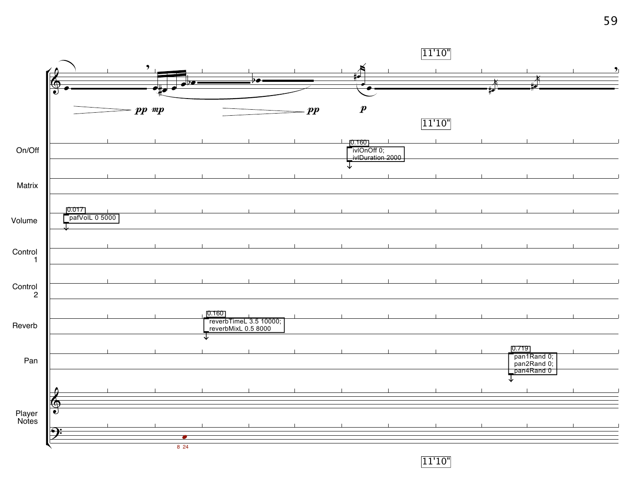

11'10"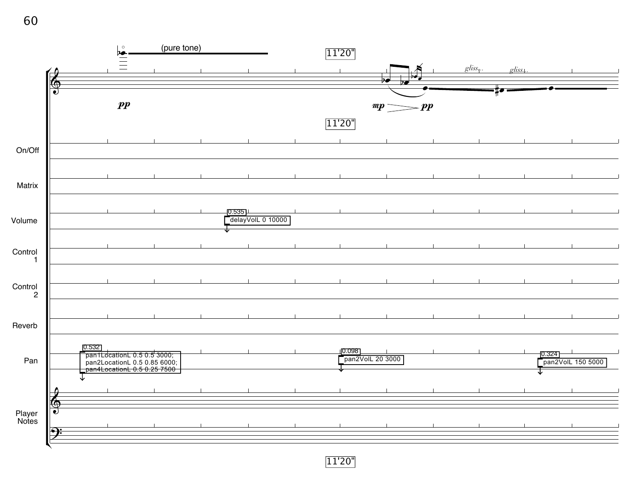|               | $\frac{\overline{b}}{\overline{a}}$                                                                 |  |                             | 11'20"          |                  |          | gliss | gliss. |                             |
|---------------|-----------------------------------------------------------------------------------------------------|--|-----------------------------|-----------------|------------------|----------|-------|--------|-----------------------------|
| $\theta$<br>₲ |                                                                                                     |  |                             |                 | Þ€               |          |       |        |                             |
| $\vec{v}$     |                                                                                                     |  |                             |                 |                  |          |       |        |                             |
|               | $\boldsymbol{pp}$                                                                                   |  |                             |                 | $\boldsymbol{m}$ | $=$ $pp$ |       |        |                             |
|               |                                                                                                     |  |                             | 11'20"          |                  |          |       |        |                             |
|               |                                                                                                     |  |                             |                 |                  |          |       |        |                             |
|               |                                                                                                     |  |                             |                 |                  |          |       |        |                             |
|               |                                                                                                     |  |                             |                 |                  |          |       |        |                             |
|               |                                                                                                     |  |                             |                 |                  |          |       |        |                             |
|               |                                                                                                     |  | 10.535<br>delayVolL 0 10000 |                 |                  |          |       |        |                             |
|               |                                                                                                     |  |                             |                 |                  |          |       |        |                             |
|               |                                                                                                     |  |                             |                 |                  |          |       |        |                             |
|               |                                                                                                     |  |                             |                 |                  |          |       |        |                             |
|               |                                                                                                     |  |                             |                 |                  |          |       |        |                             |
|               |                                                                                                     |  |                             |                 |                  |          |       |        |                             |
|               |                                                                                                     |  |                             |                 |                  |          |       |        |                             |
|               |                                                                                                     |  |                             |                 |                  |          |       |        |                             |
|               | 0.532<br>pan1LocationL 0.5 0.5 3000;<br>pan2LocationL 0.5 0.85 6000;<br>pan4LocationL 0.5 0.25 7500 |  |                             | <u> 10.098 </u> | pan2VolL 20 3000 |          |       |        | 0.324 <br>pan2VolL 150 5000 |
|               |                                                                                                     |  |                             |                 |                  |          |       |        |                             |
|               |                                                                                                     |  |                             |                 |                  |          |       |        |                             |
| ❻<br>O)       |                                                                                                     |  |                             |                 |                  |          |       |        |                             |
|               |                                                                                                     |  |                             |                 |                  |          |       |        |                             |

11'20"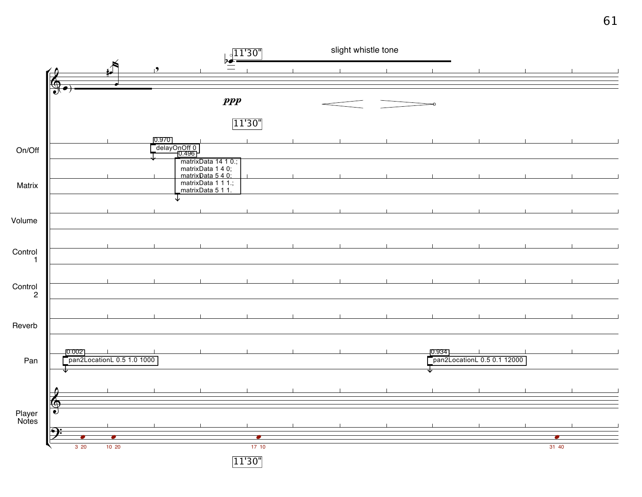